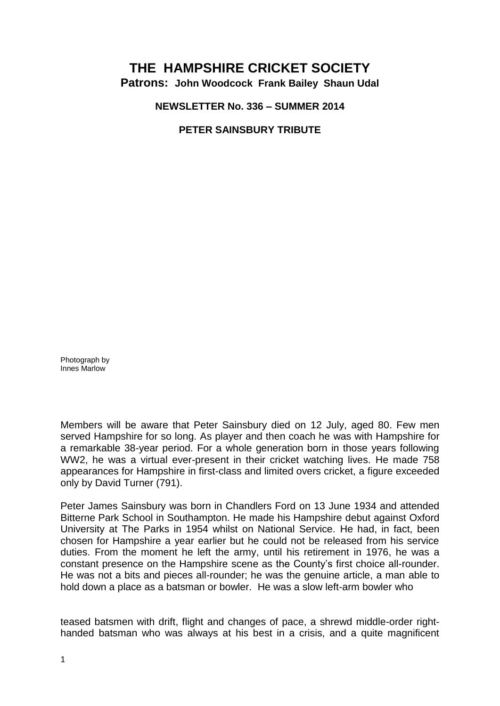# **THE HAMPSHIRE CRICKET SOCIETY**

**Patrons: John Woodcock Frank Bailey Shaun Udal**

**NEWSLETTER No. 336 – SUMMER 2014**

**PETER SAINSBURY TRIBUTE**

Photograph by Innes Marlow

Members will be aware that Peter Sainsbury died on 12 July, aged 80. Few men served Hampshire for so long. As player and then coach he was with Hampshire for a remarkable 38-year period. For a whole generation born in those years following WW2, he was a virtual ever-present in their cricket watching lives. He made 758 appearances for Hampshire in first-class and limited overs cricket, a figure exceeded only by David Turner (791).

Peter James Sainsbury was born in Chandlers Ford on 13 June 1934 and attended Bitterne Park School in Southampton. He made his Hampshire debut against Oxford University at The Parks in 1954 whilst on National Service. He had, in fact, been chosen for Hampshire a year earlier but he could not be released from his service duties. From the moment he left the army, until his retirement in 1976, he was a constant presence on the Hampshire scene as the County's first choice all-rounder. He was not a bits and pieces all-rounder; he was the genuine article, a man able to hold down a place as a batsman or bowler. He was a slow left-arm bowler who

teased batsmen with drift, flight and changes of pace, a shrewd middle-order righthanded batsman who was always at his best in a crisis, and a quite magnificent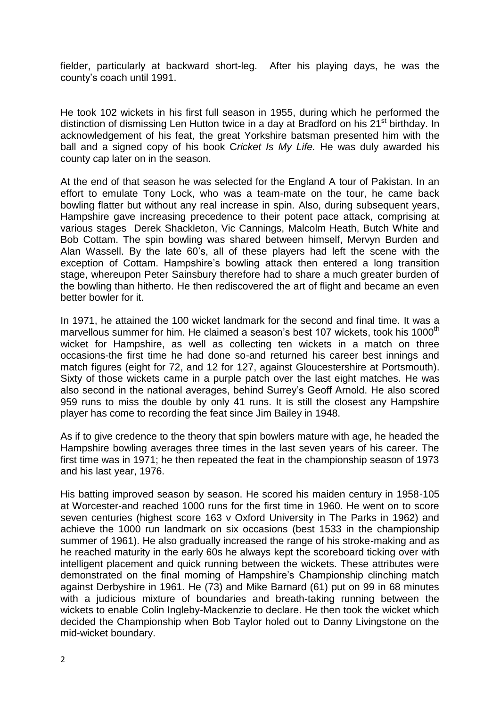fielder, particularly at backward short-leg. After his playing days, he was the county's coach until 1991.

He took 102 wickets in his first full season in 1955, during which he performed the distinction of dismissing Len Hutton twice in a day at Bradford on his 21<sup>st</sup> birthday. In acknowledgement of his feat, the great Yorkshire batsman presented him with the ball and a signed copy of his book C*ricket Is My Life.* He was duly awarded his county cap later on in the season.

At the end of that season he was selected for the England A tour of Pakistan. In an effort to emulate Tony Lock, who was a team-mate on the tour, he came back bowling flatter but without any real increase in spin. Also, during subsequent years, Hampshire gave increasing precedence to their potent pace attack, comprising at various stages Derek Shackleton, Vic Cannings, Malcolm Heath, Butch White and Bob Cottam. The spin bowling was shared between himself, Mervyn Burden and Alan Wassell. By the late 60's, all of these players had left the scene with the exception of Cottam. Hampshire's bowling attack then entered a long transition stage, whereupon Peter Sainsbury therefore had to share a much greater burden of the bowling than hitherto. He then rediscovered the art of flight and became an even better bowler for it.

In 1971, he attained the 100 wicket landmark for the second and final time. It was a marvellous summer for him. He claimed a season's best 107 wickets, took his 1000<sup>th</sup> wicket for Hampshire, as well as collecting ten wickets in a match on three occasions-the first time he had done so-and returned his career best innings and match figures (eight for 72, and 12 for 127, against Gloucestershire at Portsmouth). Sixty of those wickets came in a purple patch over the last eight matches. He was also second in the national averages, behind Surrey's Geoff Arnold. He also scored 959 runs to miss the double by only 41 runs. It is still the closest any Hampshire player has come to recording the feat since Jim Bailey in 1948.

As if to give credence to the theory that spin bowlers mature with age, he headed the Hampshire bowling averages three times in the last seven years of his career. The first time was in 1971; he then repeated the feat in the championship season of 1973 and his last year, 1976.

His batting improved season by season. He scored his maiden century in 1958-105 at Worcester-and reached 1000 runs for the first time in 1960. He went on to score seven centuries (highest score 163 v Oxford University in The Parks in 1962) and achieve the 1000 run landmark on six occasions (best 1533 in the championship summer of 1961). He also gradually increased the range of his stroke-making and as he reached maturity in the early 60s he always kept the scoreboard ticking over with intelligent placement and quick running between the wickets. These attributes were demonstrated on the final morning of Hampshire's Championship clinching match against Derbyshire in 1961. He (73) and Mike Barnard (61) put on 99 in 68 minutes with a judicious mixture of boundaries and breath-taking running between the wickets to enable Colin Ingleby-Mackenzie to declare. He then took the wicket which decided the Championship when Bob Taylor holed out to Danny Livingstone on the mid-wicket boundary.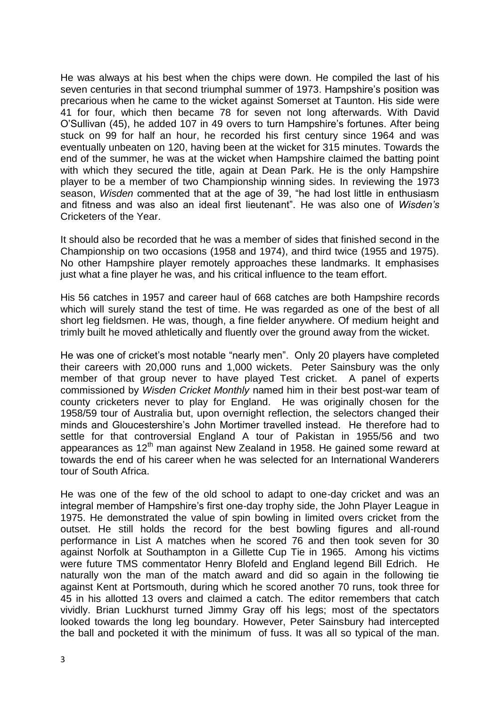He was always at his best when the chips were down. He compiled the last of his seven centuries in that second triumphal summer of 1973. Hampshire's position was precarious when he came to the wicket against Somerset at Taunton. His side were 41 for four, which then became 78 for seven not long afterwards. With David O'Sullivan (45), he added 107 in 49 overs to turn Hampshire's fortunes. After being stuck on 99 for half an hour, he recorded his first century since 1964 and was eventually unbeaten on 120, having been at the wicket for 315 minutes. Towards the end of the summer, he was at the wicket when Hampshire claimed the batting point with which they secured the title, again at Dean Park. He is the only Hampshire player to be a member of two Championship winning sides. In reviewing the 1973 season, *Wisden* commented that at the age of 39, "he had lost little in enthusiasm and fitness and was also an ideal first lieutenant". He was also one of *Wisden's*  Cricketers of the Year.

It should also be recorded that he was a member of sides that finished second in the Championship on two occasions (1958 and 1974), and third twice (1955 and 1975). No other Hampshire player remotely approaches these landmarks. It emphasises just what a fine player he was, and his critical influence to the team effort.

His 56 catches in 1957 and career haul of 668 catches are both Hampshire records which will surely stand the test of time. He was regarded as one of the best of all short leg fieldsmen. He was, though, a fine fielder anywhere. Of medium height and trimly built he moved athletically and fluently over the ground away from the wicket.

He was one of cricket's most notable "nearly men". Only 20 players have completed their careers with 20,000 runs and 1,000 wickets. Peter Sainsbury was the only member of that group never to have played Test cricket. A panel of experts commissioned by *Wisden Cricket Monthly* named him in their best post-war team of county cricketers never to play for England. He was originally chosen for the 1958/59 tour of Australia but, upon overnight reflection, the selectors changed their minds and Gloucestershire's John Mortimer travelled instead. He therefore had to settle for that controversial England A tour of Pakistan in 1955/56 and two appearances as  $12<sup>th</sup>$  man against New Zealand in 1958. He gained some reward at towards the end of his career when he was selected for an International Wanderers tour of South Africa.

He was one of the few of the old school to adapt to one-day cricket and was an integral member of Hampshire's first one-day trophy side, the John Player League in 1975. He demonstrated the value of spin bowling in limited overs cricket from the outset. He still holds the record for the best bowling figures and all-round performance in List A matches when he scored 76 and then took seven for 30 against Norfolk at Southampton in a Gillette Cup Tie in 1965. Among his victims were future TMS commentator Henry Blofeld and England legend Bill Edrich. He naturally won the man of the match award and did so again in the following tie against Kent at Portsmouth, during which he scored another 70 runs, took three for 45 in his allotted 13 overs and claimed a catch. The editor remembers that catch vividly. Brian Luckhurst turned Jimmy Gray off his legs; most of the spectators looked towards the long leg boundary. However, Peter Sainsbury had intercepted the ball and pocketed it with the minimum of fuss. It was all so typical of the man.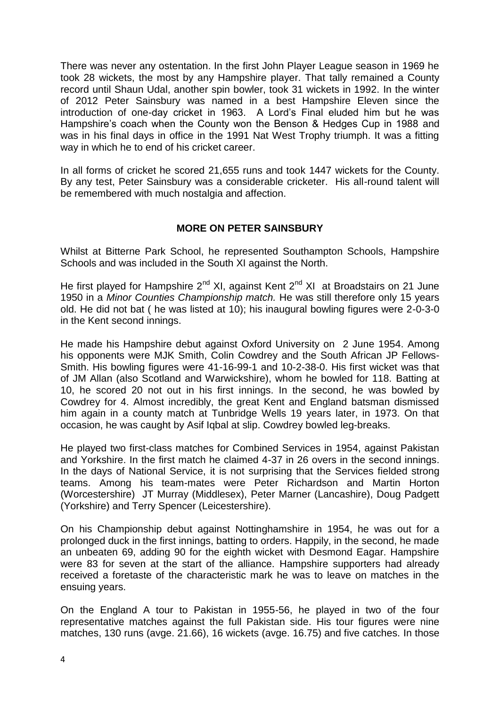There was never any ostentation. In the first John Player League season in 1969 he took 28 wickets, the most by any Hampshire player. That tally remained a County record until Shaun Udal, another spin bowler, took 31 wickets in 1992. In the winter of 2012 Peter Sainsbury was named in a best Hampshire Eleven since the introduction of one-day cricket in 1963. A Lord's Final eluded him but he was Hampshire's coach when the County won the Benson & Hedges Cup in 1988 and was in his final days in office in the 1991 Nat West Trophy triumph. It was a fitting way in which he to end of his cricket career.

In all forms of cricket he scored 21,655 runs and took 1447 wickets for the County. By any test, Peter Sainsbury was a considerable cricketer. His all-round talent will be remembered with much nostalgia and affection.

## **MORE ON PETER SAINSBURY**

Whilst at Bitterne Park School, he represented Southampton Schools, Hampshire Schools and was included in the South XI against the North.

He first played for Hampshire  $2^{nd}$  XI, against Kent  $2^{nd}$  XI at Broadstairs on 21 June 1950 in a *Minor Counties Championship match.* He was still therefore only 15 years old. He did not bat ( he was listed at 10); his inaugural bowling figures were 2-0-3-0 in the Kent second innings.

He made his Hampshire debut against Oxford University on 2 June 1954. Among his opponents were MJK Smith, Colin Cowdrey and the South African JP Fellows-Smith. His bowling figures were 41-16-99-1 and 10-2-38-0. His first wicket was that of JM Allan (also Scotland and Warwickshire), whom he bowled for 118. Batting at 10, he scored 20 not out in his first innings. In the second, he was bowled by Cowdrey for 4. Almost incredibly, the great Kent and England batsman dismissed him again in a county match at Tunbridge Wells 19 years later, in 1973. On that occasion, he was caught by Asif Iqbal at slip. Cowdrey bowled leg-breaks.

He played two first-class matches for Combined Services in 1954, against Pakistan and Yorkshire. In the first match he claimed 4-37 in 26 overs in the second innings. In the days of National Service, it is not surprising that the Services fielded strong teams. Among his team-mates were Peter Richardson and Martin Horton (Worcestershire) JT Murray (Middlesex), Peter Marner (Lancashire), Doug Padgett (Yorkshire) and Terry Spencer (Leicestershire).

On his Championship debut against Nottinghamshire in 1954, he was out for a prolonged duck in the first innings, batting to orders. Happily, in the second, he made an unbeaten 69, adding 90 for the eighth wicket with Desmond Eagar. Hampshire were 83 for seven at the start of the alliance. Hampshire supporters had already received a foretaste of the characteristic mark he was to leave on matches in the ensuing years.

On the England A tour to Pakistan in 1955-56, he played in two of the four representative matches against the full Pakistan side. His tour figures were nine matches, 130 runs (avge. 21.66), 16 wickets (avge. 16.75) and five catches. In those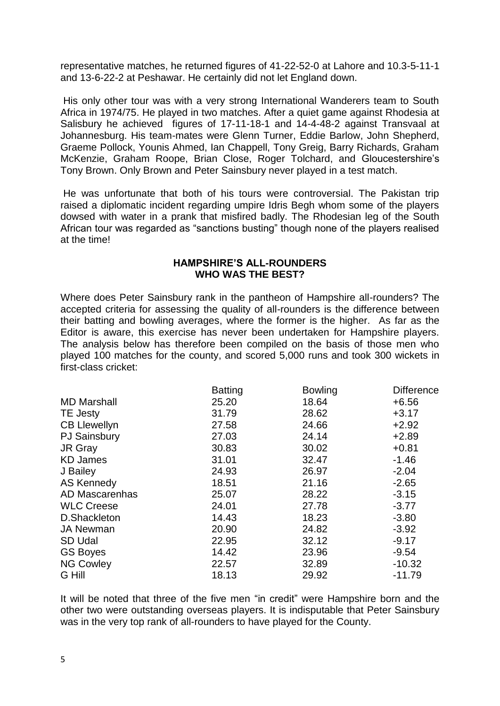representative matches, he returned figures of 41-22-52-0 at Lahore and 10.3-5-11-1 and 13-6-22-2 at Peshawar. He certainly did not let England down.

His only other tour was with a very strong International Wanderers team to South Africa in 1974/75. He played in two matches. After a quiet game against Rhodesia at Salisbury he achieved figures of 17-11-18-1 and 14-4-48-2 against Transvaal at Johannesburg. His team-mates were Glenn Turner, Eddie Barlow, John Shepherd, Graeme Pollock, Younis Ahmed, Ian Chappell, Tony Greig, Barry Richards, Graham McKenzie, Graham Roope, Brian Close, Roger Tolchard, and Gloucestershire's Tony Brown. Only Brown and Peter Sainsbury never played in a test match.

He was unfortunate that both of his tours were controversial. The Pakistan trip raised a diplomatic incident regarding umpire Idris Begh whom some of the players dowsed with water in a prank that misfired badly. The Rhodesian leg of the South African tour was regarded as "sanctions busting" though none of the players realised at the time!

### **HAMPSHIRE'S ALL-ROUNDERS WHO WAS THE BEST?**

Where does Peter Sainsbury rank in the pantheon of Hampshire all-rounders? The accepted criteria for assessing the quality of all-rounders is the difference between their batting and bowling averages, where the former is the higher. As far as the Editor is aware, this exercise has never been undertaken for Hampshire players. The analysis below has therefore been compiled on the basis of those men who played 100 matches for the county, and scored 5,000 runs and took 300 wickets in first-class cricket:

|                     | <b>Batting</b> | <b>Bowling</b> | <b>Difference</b> |
|---------------------|----------------|----------------|-------------------|
| <b>MD Marshall</b>  | 25.20          | 18.64          | $+6.56$           |
| <b>TE Jesty</b>     | 31.79          | 28.62          | $+3.17$           |
| <b>CB Llewellyn</b> | 27.58          | 24.66          | $+2.92$           |
| <b>PJ Sainsbury</b> | 27.03          | 24.14          | $+2.89$           |
| JR Gray             | 30.83          | 30.02          | $+0.81$           |
| <b>KD James</b>     | 31.01          | 32.47          | $-1.46$           |
| J Bailey            | 24.93          | 26.97          | $-2.04$           |
| <b>AS Kennedy</b>   | 18.51          | 21.16          | $-2.65$           |
| AD Mascarenhas      | 25.07          | 28.22          | $-3.15$           |
| <b>WLC Creese</b>   | 24.01          | 27.78          | $-3.77$           |
| D.Shackleton        | 14.43          | 18.23          | $-3.80$           |
| <b>JA Newman</b>    | 20.90          | 24.82          | $-3.92$           |
| <b>SD Udal</b>      | 22.95          | 32.12          | $-9.17$           |
| <b>GS Boyes</b>     | 14.42          | 23.96          | $-9.54$           |
| <b>NG Cowley</b>    | 22.57          | 32.89          | $-10.32$          |
| G Hill              | 18.13          | 29.92          | $-11.79$          |

It will be noted that three of the five men "in credit" were Hampshire born and the other two were outstanding overseas players. It is indisputable that Peter Sainsbury was in the very top rank of all-rounders to have played for the County.